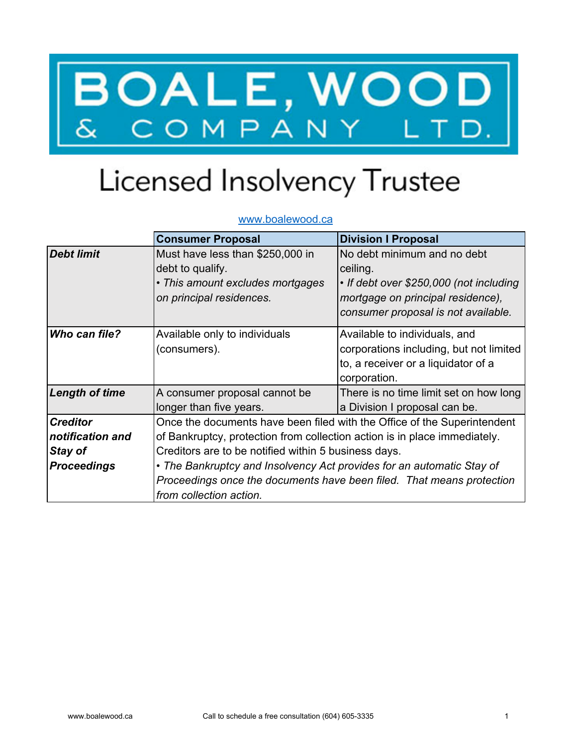## BOALE, WOOD

## Licensed Insolvency Trustee

## www.boalewood.ca

|                       | <b>Consumer Proposal</b>                                                  | <b>Division I Proposal</b>              |  |
|-----------------------|---------------------------------------------------------------------------|-----------------------------------------|--|
| <b>Debt limit</b>     | Must have less than \$250,000 in                                          | No debt minimum and no debt             |  |
|                       | debt to qualify.                                                          | ceiling.                                |  |
|                       | • This amount excludes mortgages                                          | • If debt over \$250,000 (not including |  |
|                       | on principal residences.                                                  | mortgage on principal residence),       |  |
|                       |                                                                           | consumer proposal is not available.     |  |
| Who can file?         | Available only to individuals                                             | Available to individuals, and           |  |
|                       | (consumers).                                                              | corporations including, but not limited |  |
|                       |                                                                           | to, a receiver or a liquidator of a     |  |
|                       |                                                                           | corporation.                            |  |
| <b>Length of time</b> | A consumer proposal cannot be                                             | There is no time limit set on how long  |  |
|                       | longer than five years.                                                   | a Division I proposal can be.           |  |
| <b>Creditor</b>       | Once the documents have been filed with the Office of the Superintendent  |                                         |  |
| notification and      | of Bankruptcy, protection from collection action is in place immediately. |                                         |  |
| Stay of               | Creditors are to be notified within 5 business days.                      |                                         |  |
| <b>Proceedings</b>    | • The Bankruptcy and Insolvency Act provides for an automatic Stay of     |                                         |  |
|                       | Proceedings once the documents have been filed. That means protection     |                                         |  |
|                       | from collection action.                                                   |                                         |  |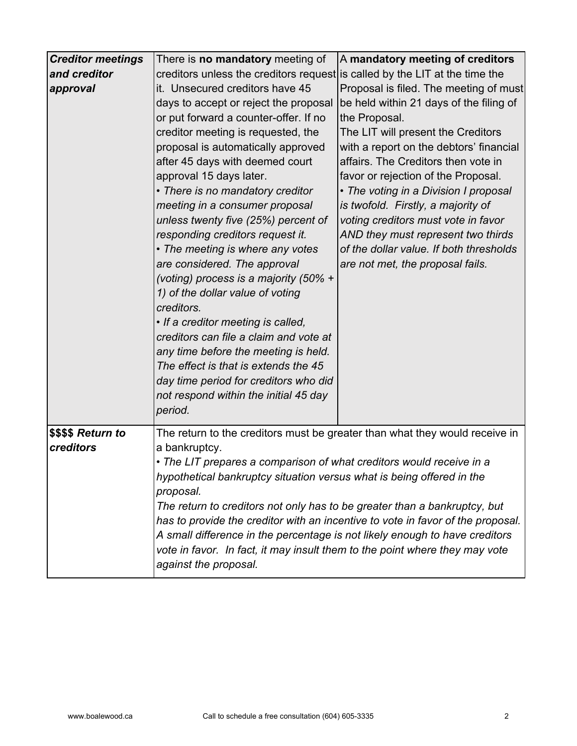| <b>Creditor meetings</b> | There is <b>no mandatory</b> meeting of                                         | A mandatory meeting of creditors                                            |  |
|--------------------------|---------------------------------------------------------------------------------|-----------------------------------------------------------------------------|--|
| and creditor             | creditors unless the creditors request is called by the LIT at the time the     |                                                                             |  |
| approval                 | it. Unsecured creditors have 45                                                 | Proposal is filed. The meeting of must                                      |  |
|                          | days to accept or reject the proposal                                           | be held within 21 days of the filing of                                     |  |
|                          | or put forward a counter-offer. If no                                           | the Proposal.                                                               |  |
|                          | creditor meeting is requested, the                                              | The LIT will present the Creditors                                          |  |
|                          | proposal is automatically approved                                              | with a report on the debtors' financial                                     |  |
|                          | after 45 days with deemed court                                                 | affairs. The Creditors then vote in                                         |  |
|                          | approval 15 days later.                                                         | favor or rejection of the Proposal.                                         |  |
|                          | • There is no mandatory creditor                                                | • The voting in a Division I proposal                                       |  |
|                          | meeting in a consumer proposal                                                  | is twofold. Firstly, a majority of                                          |  |
|                          | unless twenty five (25%) percent of                                             | voting creditors must vote in favor                                         |  |
|                          | responding creditors request it.                                                | AND they must represent two thirds                                          |  |
|                          | • The meeting is where any votes                                                | of the dollar value. If both thresholds                                     |  |
|                          | are considered. The approval                                                    | are not met, the proposal fails.                                            |  |
|                          | (voting) process is a majority (50% +                                           |                                                                             |  |
|                          | 1) of the dollar value of voting                                                |                                                                             |  |
|                          | creditors.                                                                      |                                                                             |  |
|                          | • If a creditor meeting is called,                                              |                                                                             |  |
|                          | creditors can file a claim and vote at                                          |                                                                             |  |
|                          | any time before the meeting is held.                                            |                                                                             |  |
|                          | The effect is that is extends the 45                                            |                                                                             |  |
|                          | day time period for creditors who did                                           |                                                                             |  |
|                          | not respond within the initial 45 day                                           |                                                                             |  |
|                          | period.                                                                         |                                                                             |  |
| \$\$\$\$ Return to       |                                                                                 | The return to the creditors must be greater than what they would receive in |  |
| creditors                | a bankruptcy.                                                                   |                                                                             |  |
|                          | • The LIT prepares a comparison of what creditors would receive in a            |                                                                             |  |
|                          | hypothetical bankruptcy situation versus what is being offered in the           |                                                                             |  |
|                          | proposal.                                                                       |                                                                             |  |
|                          | The return to creditors not only has to be greater than a bankruptcy, but       |                                                                             |  |
|                          | has to provide the creditor with an incentive to vote in favor of the proposal. |                                                                             |  |
|                          | A small difference in the percentage is not likely enough to have creditors     |                                                                             |  |
|                          | vote in favor. In fact, it may insult them to the point where they may vote     |                                                                             |  |
|                          | against the proposal.                                                           |                                                                             |  |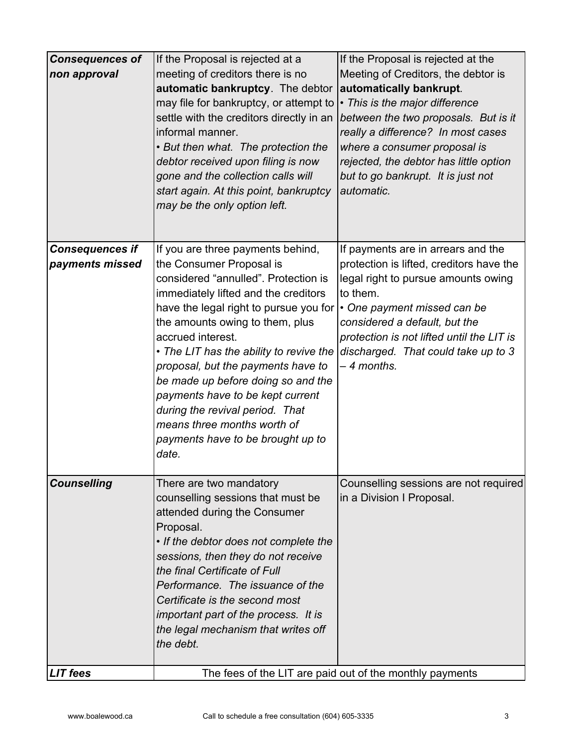| <b>Consequences of</b><br>non approval    | If the Proposal is rejected at a<br>meeting of creditors there is no<br>automatic bankruptcy. The debtor<br>may file for bankruptcy, or attempt to<br>settle with the creditors directly in an<br>informal manner.<br>• But then what. The protection the<br>debtor received upon filing is now<br>gone and the collection calls will<br>start again. At this point, bankruptcy<br>may be the only option left.                                                                                                            | If the Proposal is rejected at the<br>Meeting of Creditors, the debtor is<br>automatically bankrupt.<br>• This is the major difference<br>between the two proposals. But is it<br>really a difference? In most cases<br>where a consumer proposal is<br>rejected, the debtor has little option<br>but to go bankrupt. It is just not<br>automatic. |
|-------------------------------------------|----------------------------------------------------------------------------------------------------------------------------------------------------------------------------------------------------------------------------------------------------------------------------------------------------------------------------------------------------------------------------------------------------------------------------------------------------------------------------------------------------------------------------|----------------------------------------------------------------------------------------------------------------------------------------------------------------------------------------------------------------------------------------------------------------------------------------------------------------------------------------------------|
| <b>Consequences if</b><br>payments missed | If you are three payments behind,<br>the Consumer Proposal is<br>considered "annulled". Protection is<br>immediately lifted and the creditors<br>have the legal right to pursue you for<br>the amounts owing to them, plus<br>accrued interest.<br>• The LIT has the ability to revive the<br>proposal, but the payments have to<br>be made up before doing so and the<br>payments have to be kept current<br>during the revival period. That<br>means three months worth of<br>payments have to be brought up to<br>date. | If payments are in arrears and the<br>protection is lifted, creditors have the<br>legal right to pursue amounts owing<br>to them.<br>• One payment missed can be<br>considered a default, but the<br>protection is not lifted until the LIT is<br>discharged. That could take up to 3<br>– 4 months.                                               |
| <b>Counselling</b><br><b>LIT</b> fees     | There are two mandatory<br>counselling sessions that must be<br>attended during the Consumer<br>Proposal.<br>• If the debtor does not complete the<br>sessions, then they do not receive<br>the final Certificate of Full<br>Performance. The issuance of the<br>Certificate is the second most<br>important part of the process. It is<br>the legal mechanism that writes off<br>the debt.                                                                                                                                | Counselling sessions are not required<br>in a Division I Proposal.<br>The fees of the LIT are paid out of the monthly payments                                                                                                                                                                                                                     |